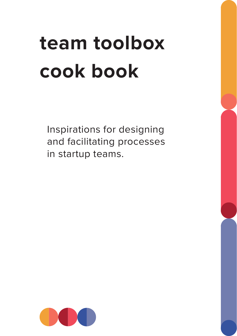# **team toolbox cook book**

Inspirations for designing and facilitating processes in startup teams.

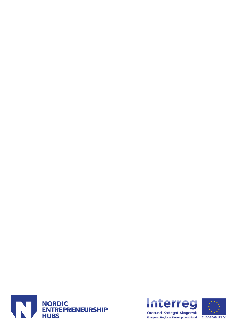



EUROPEAN UNION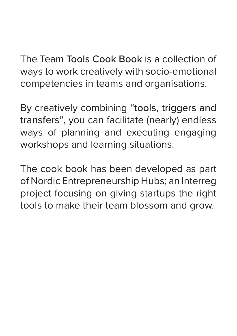The Team Tools Cook Book is a collection of ways to work creatively with socio-emotional competencies in teams and organisations.

By creatively combining "tools, triggers and transfers", you can facilitate (nearly) endless ways of planning and executing engaging workshops and learning situations.

The cook book has been developed as part of Nordic Entrepreneurship Hubs; an Interreg project focusing on giving startups the right tools to make their team blossom and grow.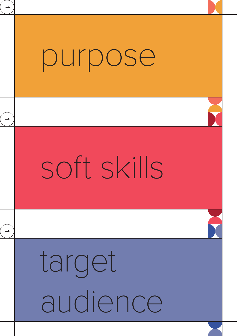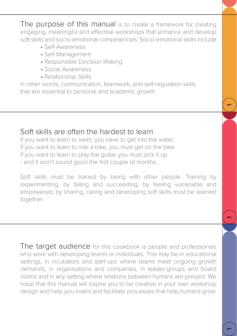The purpose of this manual is to create a framework for creating engaging, meaningful and effective workshops that enhance and develop soft skills and socio-emotional competencies. Socio-emotional skills include

- Self-Awareness
- Self-Management
- Responsible Decision Making
- Social Awareness
- Relationship Skills

In other words; communication, teamwork, and self-regulation skills that are essential to personal and academic growth

 $\mathbf{r}$ 

 $\overline{\phantom{a}}$ 

52

# Soft skills are often the hardest to learn

If you want to learn to swim; you have to get into the water. If you want to learn to ride a bike, you must get on the bike. If you want to learn to play the guitar, you must pick it up - and it won't sound good the first couple of months...

Soft skills must be trained by being with other people. Training by experimenting, by failing and succeeding, by feeling vulnerable and empowered, by sharing, caring and developing soft skills must be learned together.

The target audience for this cookbook is people and professionals who work with developing teams or individuals. This may be in educational settings, in incubators and start-ups where teams meet ongoing growth demands, in organisations and companies, in leader-groups and board rooms and in any setting where relations between humans are present. We hope that this manual will inspire you to be creative in your own workshop design and help you invent and facilitate processes that help humans grow.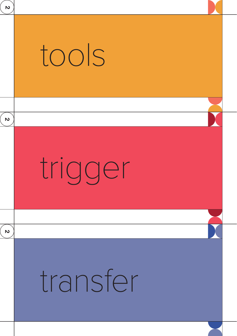| N                         |          |  |
|---------------------------|----------|--|
|                           | tools    |  |
| $\boldsymbol{\mathsf{N}}$ |          |  |
|                           | trigger  |  |
| $\mathbf v$               |          |  |
|                           | transfer |  |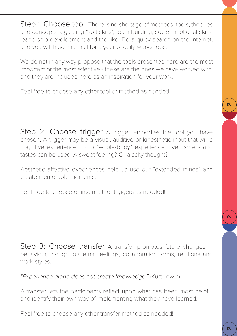Step 1: Choose tool There is no shortage of methods, tools, theories and concepts regarding "soft skills", team-building, socio-emotional skills, leadership development and the like. Do a quick search on the internet, and you will have material for a year of daily workshops.

We do not in any way propose that the tools presented here are the most important or the most effective - these are the ones we have worked with, and they are included here as an inspiration for your work.

Feel free to choose any other tool or method as needed!

Step 2: Choose trigger A trigger embodies the tool you have chosen. A trigger may be a visual, auditive or kinesthetic input that will a cognitive experience into a "whole-body" experience. Even smells and tastes can be used. A sweet feeling? Or a salty thought?

Aesthetic affective experiences help us use our "extended minds" and create memorable moments.

Feel free to choose or invent other triggers as needed!

Step 3: Choose transfer A transfer promotes future changes in behaviour, thought patterns, feelings, collaboration forms, relations and work styles.

*"Experience alone does not create knowledge."* (Kurt Lewin)

A transfer lets the participants reflect upon what has been most helpful and identify their own way of implementing what they have learned.

Feel free to choose any other transfer method as needed!

 $\overline{\mathbf{c}}$ 

 $\overline{\mathbf{c}}$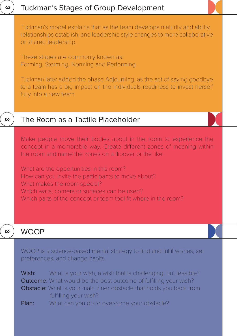| ω | <b>Tuckman's Stages of Group Development</b>                                                                                                                                                                                                                                                                                                                                                                                                             |
|---|----------------------------------------------------------------------------------------------------------------------------------------------------------------------------------------------------------------------------------------------------------------------------------------------------------------------------------------------------------------------------------------------------------------------------------------------------------|
|   | Tuckman's model explains that as the team develops maturity and ability,<br>relationships establish, and leadership style changes to more collaborative<br>or shared leadership.<br>These stages are commonly known as:                                                                                                                                                                                                                                  |
|   | Forming, Storming, Norming and Performing.                                                                                                                                                                                                                                                                                                                                                                                                               |
|   | Tuckman later added the phase Adjourning, as the act of saying goodbye<br>to a team has a big impact on the individuals readiness to invest herself<br>fully into a new team.                                                                                                                                                                                                                                                                            |
| ω | The Room as a Tactile Placeholder                                                                                                                                                                                                                                                                                                                                                                                                                        |
|   | Make people move their bodies about in the room to experience the<br>concept in a memorable way. Create different zones of meaning within<br>the room and name the zones on a flipover or the like.<br>What are the opportunities in this room?<br>How can you invite the participants to move about?<br>What makes the room special?<br>Which walls, corners or surfaces can be used?<br>Which parts of the concept or team tool fit where in the room? |
| ω | <b>WOOP</b>                                                                                                                                                                                                                                                                                                                                                                                                                                              |
|   | WOOP is a science-based mental strategy to find and fulfil wishes, set<br>preferences, and change habits.<br>Wish:<br>What is your wish, a wish that is challenging, but feasible?<br>Outcome: What would be the best outcome of fulfilling your wish?<br>Obstacle: What is your main inner obstacle that holds you back from<br>fulfilling your wish?<br>What can you do to overcome your obstacle?<br>Plan:                                            |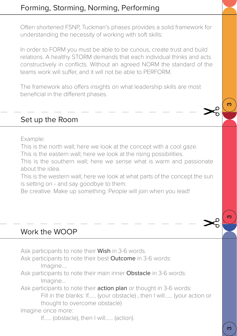Often shortened FSNP, Tuckman's phases provides a solid framework for understanding the necessity of working with soft skills:

In order to FORM you must be able to be curious, create trust and build relations. A healthy STORM demands that each individual thinks and acts constructively in conflicts. Without an agreed NORM the standard of the teams work will suffer, and it will not be able to PERFORM.

The framework also offers insights on what leadership skills are most beneficial in the different phases.

# Set up the Room

Example:

This is the north wall; here we look at the concept with a cool gaze.

This is the eastern wall; here we look at the rising possibilities.

This is the southern wall; here we sense what is warm and passionate about the idea.

This is the western wall; here we look at what parts of the concept the sun is setting on - and say goodbye to them.

Be creative. Make up something. People will join when you lead!

# Work the WOOP

Ask participants to note their **Wish** in 3-6 words.

Ask participants to note their best **Outcome** in 3-6 words: Imagine....

Ask participants to note their main inner Obstacle in 3-6 words: Imagine...

Ask participants to note their **action plan** or thought in 3-6 words: Fill in the blanks: If…… (your obstacle) , then I will…… (your action or thought to overcome obstacle)

Imagine once more:

If…… (obstacle), then I will…… (action).

ო

ო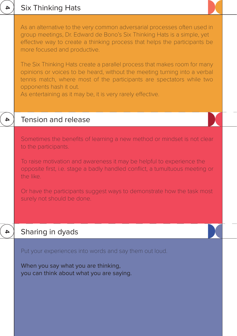|   | As an alternative to the very common adversarial processes often used in<br>group meetings, Dr. Edward de Bono's Six Thinking Hats is a simple, yet<br>effective way to create a thinking process that helps the participants be<br>more focused and productive.<br>The Six Thinking Hats create a parallel process that makes room for many<br>opinions or voices to be heard, without the meeting turning into a verbal<br>tennis match, where most of the participants are spectators while two<br>opponents hash it out.<br>As entertaining as it may be, it is very rarely effective. |
|---|--------------------------------------------------------------------------------------------------------------------------------------------------------------------------------------------------------------------------------------------------------------------------------------------------------------------------------------------------------------------------------------------------------------------------------------------------------------------------------------------------------------------------------------------------------------------------------------------|
| 4 | Tension and release                                                                                                                                                                                                                                                                                                                                                                                                                                                                                                                                                                        |
|   | Sometimes the benefits of learning a new method or mindset is not clear<br>to the participants.<br>To raise motivation and awareness it may be helpful to experience the<br>opposite first, i.e. stage a badly handled conflict, a tumultuous meeting or<br>the like.<br>Or have the participants suggest ways to demonstrate how the task most<br>surely not should be done.                                                                                                                                                                                                              |
| Δ | Sharing in dyads                                                                                                                                                                                                                                                                                                                                                                                                                                                                                                                                                                           |
|   | Put your experiences into words and say them out loud.<br>When you say what you are thinking,<br>you can think about what you are saying.                                                                                                                                                                                                                                                                                                                                                                                                                                                  |

# 4 Six Thinking Hats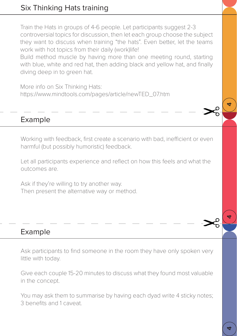Train the Hats in groups of 4-6 people. Let participants suggest 2-3 controversial topics for discussion, then let each group choose the subject they want to discuss when training "the hats". Even better, let the teams work with hot topics from their daily (work)life!

Build method muscle by having more than one meeting round, starting with blue, white and red hat, then adding black and yellow hat, and finally diving deep in to green hat.

More info on Six Thinking Hats: https://www.mindtools.com/pages/article/newTED\_07.htm

## Example

Working with feedback, first create a scenario with bad, inefficient or even harmful (but possibly humoristic) feedback.

Let all participants experience and reflect on how this feels and what the outcomes are.

Ask if they're willing to try another way. Then present the alternative way or method.

#### Example

Ask participants to find someone in the room they have only spoken very little with today.

Give each couple 15-20 minutes to discuss what they found most valuable in the concept.

You may ask them to summarise by having each dyad write 4 sticky notes; 3 benefits and 1 caveat.

4

4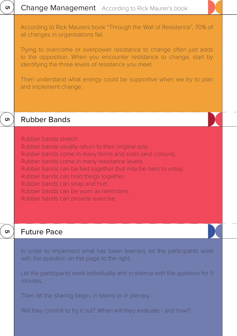| ហ        | <b>Change Management</b> According to Rick Maurer's book                                                                                                                                                                                                                                                                                                                                                               |
|----------|------------------------------------------------------------------------------------------------------------------------------------------------------------------------------------------------------------------------------------------------------------------------------------------------------------------------------------------------------------------------------------------------------------------------|
|          | According to Rick Maurers book "Through the Wall of Resistance", 70% of<br>all changes in organisations fail.<br>Trying to overcome or overpower resistance to change often just adds<br>to the opposition. When you encounter resistance to change, start by<br>identifying the three levels of resistance you meet.<br>Then understand what energy could be supportive when we try to plan<br>and implement change.  |
|          |                                                                                                                                                                                                                                                                                                                                                                                                                        |
| <b>ທ</b> | <b>Rubber Bands</b>                                                                                                                                                                                                                                                                                                                                                                                                    |
|          | Rubber bands stretch.<br>Rubber bands usually return to their original size.<br>Rubber bands come in many forms and sizes (and colours).<br>Rubber bands come in many resistance levels.<br>Rubber bands can be tied together (but may be hard to untie).<br>Rubber bands can hold things together.<br>Rubber bands can snap and hurt.<br>Rubber bands can be worn as reminders.<br>Rubber bands can provide exercise. |
| ហ        | <b>Future Pace</b>                                                                                                                                                                                                                                                                                                                                                                                                     |
|          | In order to implement what has been learned, let the participants work<br>with the question on the page to the right.                                                                                                                                                                                                                                                                                                  |
|          | Let the participants work individually and in silence with the question for 5<br>minutes.                                                                                                                                                                                                                                                                                                                              |
|          | Then let the sharing begin, in teams or in plenary.                                                                                                                                                                                                                                                                                                                                                                    |
|          | Will they commit to try it out? When will they evaluate - and how?                                                                                                                                                                                                                                                                                                                                                     |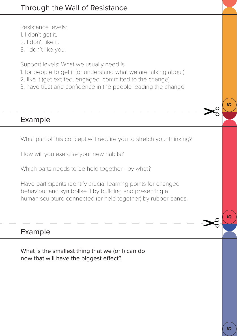Resistance levels:

- 1. I don't get it.
- 2. I don't like it.
- 3. I don't like you.

Support levels: What we usually need is

- 1. for people to get it (or understand what we are talking about)
- 2. like it (get excited, engaged, committed to the change)
- 3. have trust and confidence in the people leading the change

## Example

What part of this concept will require you to stretch your thinking?

How will you exercise your new habits?

Which parts needs to be held together - by what?

Have participants identify crucial learning points for changed behaviour and symbolise it by building and presenting a human sculpture connected (or held together) by rubber bands.

#### Example

What is the smallest thing that we (or I) can do now that will have the biggest effect?

 $\overline{5}$ 

<u> 19</u>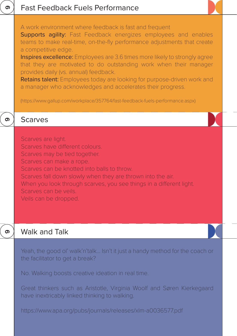| ග | <b>Fast Feedback Fuels Performance</b>                                                                                                                                                                                                                                                                                                                                                                                                                                                                                                                                                                                                             |
|---|----------------------------------------------------------------------------------------------------------------------------------------------------------------------------------------------------------------------------------------------------------------------------------------------------------------------------------------------------------------------------------------------------------------------------------------------------------------------------------------------------------------------------------------------------------------------------------------------------------------------------------------------------|
|   | A work environment where feedback is fast and frequent<br>Supports agility: Fast Feedback energizes employees and enables<br>teams to make real-time, on-the-fly performance adjustments that create<br>a competitive edge.<br>Inspires excellence: Employees are 3.6 times more likely to strongly agree<br>that they are motivated to do outstanding work when their manager<br>provides daily (vs. annual) feedback.<br>Retains talent: Employees today are looking for purpose-driven work and<br>a manager who acknowledges and accelerates their progress.<br>(https://www.gallup.com/workplace/357764/fast-feedback-fuels-performance.aspx) |
| ග | <b>Scarves</b>                                                                                                                                                                                                                                                                                                                                                                                                                                                                                                                                                                                                                                     |
|   | Scarves are light.<br>Scarves have different colours.<br>Scarves may be tied together.<br>Scarves can make a rope.<br>Scarves can be knotted into balls to throw.<br>Scarves fall down slowly when they are thrown into the air.<br>When you look through scarves, you see things in a different light.<br>Scarves can be veils.<br>Veils can be dropped.                                                                                                                                                                                                                                                                                          |
| ග | <b>Walk and Talk</b>                                                                                                                                                                                                                                                                                                                                                                                                                                                                                                                                                                                                                               |
|   | Yeah, the good ol' walk'n'talk Isn't it just a handy method for the coach or<br>the facilitator to get a break?<br>No. Walking boosts creative ideation in real time.                                                                                                                                                                                                                                                                                                                                                                                                                                                                              |
|   | Great thinkers such as Aristotle, Virginia Woolf and Søren Kierkegaard<br>have inextricably linked thinking to walking.                                                                                                                                                                                                                                                                                                                                                                                                                                                                                                                            |
|   | https://www.apa.org/pubs/journals/releases/xlm-a0036577.pdf                                                                                                                                                                                                                                                                                                                                                                                                                                                                                                                                                                                        |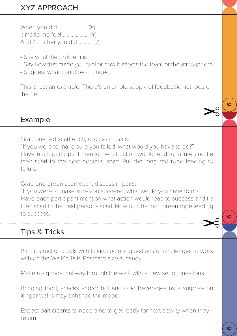# XYZ APPROACH

When you did ……….………… (X) It made me feel ……….………. (Y) And I'd rather you did .………. (Z)

- Say what the problem is
- Say how that made you feel or how it affects the team or the atmosphere
- Suggest what could be changed

This is just an example. There's an ample supply of feedback methods on the net.

# Example

Grab one red scarf each, discuss in pairs:

"If you were to make sure you failed, what would you have to do?" Have each participant mention what action would lead to failure and tie their scarf to the next persons scarf. Pull the long red rope leading to failure.

Grab one green scarf each, discuss in pairs:

"If you were to make sure you succeed, what would you have to do?" Have each participant mention what action would lead to success and tie their scarf to the next persons scarf. Now pull the long green rope leading to success.

# Tips & Tricks

Print instruction cards with talking points, questions or challenges to work with on the Walk'n'Talk. Postcard size is handy.

Make a signpost halfway through the walk with a new set of questions.

Bringing food, snacks and/or hot and cold beverages as a surprise on longer walks may enhance the mood.

Expect participants to need time to get ready for next activity when they return.

 $\omega$ 

ဖ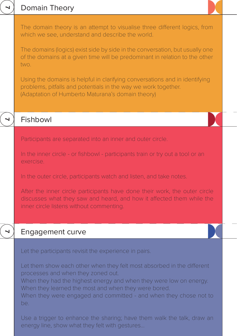|   | Domain Theory                                                                                                                                                                                                                                                                                                          |
|---|------------------------------------------------------------------------------------------------------------------------------------------------------------------------------------------------------------------------------------------------------------------------------------------------------------------------|
|   | The domain theory is an attempt to visualise three different logics, from<br>which we see, understand and describe the world.                                                                                                                                                                                          |
|   | The domains (logics) exist side by side in the conversation, but usually one<br>of the domains at a given time will be predominant in relation to the other<br>two.                                                                                                                                                    |
|   | Using the domains is helpful in clarifying conversations and in identifying<br>problems, pitfalls and potentials in the way we work together.<br>(Adaptation of Humberto Maturana's domain theory)                                                                                                                     |
|   |                                                                                                                                                                                                                                                                                                                        |
|   | Fishbowl                                                                                                                                                                                                                                                                                                               |
|   | Participants are separated into an inner and outer circle.                                                                                                                                                                                                                                                             |
|   | In the inner circle - or fishbowl - participants train or try out a tool or an<br>exercise.                                                                                                                                                                                                                            |
|   | In the outer circle, participants watch and listen, and take notes.                                                                                                                                                                                                                                                    |
|   | After the inner circle participants have done their work, the outer circle<br>discusses what they saw and heard, and how it affected them while the<br>inner circle listens without commenting.                                                                                                                        |
| ⊣ | Engagement curve                                                                                                                                                                                                                                                                                                       |
|   | Let the participants revisit the experience in pairs.                                                                                                                                                                                                                                                                  |
|   | Let them show each other when they felt most absorbed in the different<br>processes and when they zoned out.<br>When they had the highest energy and when they were low on energy.<br>When they learned the most and when they were bored.<br>When they were engaged and committed - and when they chose not to<br>be. |

Use a trigger to enhance the sharing; have them walk the talk, draw an energy line, show what they felt with gestures…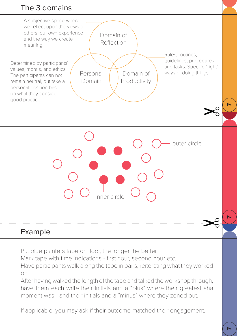# The 3 domains



# Example

Put blue painters tape on floor, the longer the better.

Mark tape with time indications - first hour, second hour etc.

Have participants walk along the tape in pairs, reiterating what they worked on.

After having walked the length of the tape and talked the workshop through, have them each write their initials and a "plus" where their greatest aha moment was - and their initials and a "minus" where they zoned out.

If applicable, you may ask if their outcome matched their engagement.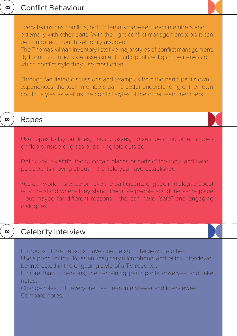| $\infty$ | <b>Conflict Behaviour</b>                                                                                                                                                                                                                                                                                                                                                                                                                                                                                                                                                                                                                  |
|----------|--------------------------------------------------------------------------------------------------------------------------------------------------------------------------------------------------------------------------------------------------------------------------------------------------------------------------------------------------------------------------------------------------------------------------------------------------------------------------------------------------------------------------------------------------------------------------------------------------------------------------------------------|
|          | Every teams has conflicts, both internally between team members and<br>externally with other parts. With the right conflict management tools it can<br>be controlled, though seldomly avoided.<br>The Thomas Kilman Inventory lists five major styles of conflict management.<br>By taking a conflict style assessment, participants will gain awareness on<br>which conflict style they use most often.<br>Through facilitated discussions and examples from the participant's own<br>experiences, the team members gain a better understanding of their own<br>conflict styles as well as the conflict styles of the other team members. |
| $\infty$ | Ropes                                                                                                                                                                                                                                                                                                                                                                                                                                                                                                                                                                                                                                      |
|          | Use ropes to lay out lines, grids, crosses, horseshoes and other shapes<br>on floors inside or grass or parking lots outside.<br>Define values attributed to certain places or parts of the rope, and have<br>participants moving about in the field you have established.<br>You can work in silence or have the participants engage in dialogue about<br>why the stand where they stand. Because people stand the same place<br>- but maybe for different reasons - the can have "safe" and engaging<br>dialogues.                                                                                                                       |
| ထ        | <b>Celebrity Interview</b>                                                                                                                                                                                                                                                                                                                                                                                                                                                                                                                                                                                                                 |
|          | In groups of 2-4 persons, have one person interview the other.<br>Use a pencil or the like as an imaginary microphone, and let the interviewer<br>be interested in the engaging style of a TV-reporter.<br>If more than 2 persons, the remaining participants observes and take<br>notes.<br>Change roles until everyone has been interviewer and interviewee.<br>Compare notes.                                                                                                                                                                                                                                                           |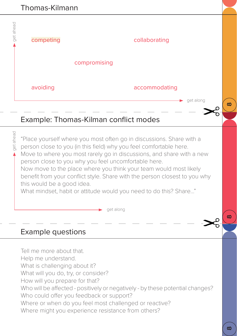

What will you do, try, or consider? How will you prepare for that? Who will be affected - positively or negatively - by these potential changes? Who could offer you feedback or support? Where or when do you feel most challenged or reactive? Where might you experience resistance from others?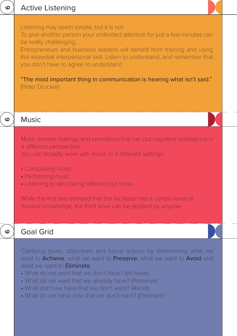| $\boldsymbol{\omega}$ | <b>Active Listening</b>                                                                                                                                                                                                                                                                                                                                                                                                                             |  |
|-----------------------|-----------------------------------------------------------------------------------------------------------------------------------------------------------------------------------------------------------------------------------------------------------------------------------------------------------------------------------------------------------------------------------------------------------------------------------------------------|--|
|                       | Listening may seem simple, but it is not.<br>To give another person your undivided attention for just a few minutes can<br>be really challenging.<br>Entrepreneurs and business leaders will benefit from training and using<br>this essential interpersonal skill. Listen to understand, and remember that<br>you don't have to agree to understand.<br>"The most important thing in communication is hearing what isn't said."<br>(Peter Drucker) |  |
| ဖ                     | <b>Music</b>                                                                                                                                                                                                                                                                                                                                                                                                                                        |  |
|                       | Music evokes feelings and sensations that can put cognitive realisations in<br>a different perspective.<br>You can broadly work with music in 3 different settings:<br>• Composing music<br>• Performing music<br>• Listening to (and being affected by) music<br>While the first two demand that the facilitator has a certain level of<br>musical knowledge, the third level can be applied by anyone.                                            |  |
| ဖ                     | <b>Goal Grid</b>                                                                                                                                                                                                                                                                                                                                                                                                                                    |  |
|                       | Clarifying goals, objectives and future actions by determining what we<br>want to Achieve, what we want to Preserve, what we want to Avoid and<br>what we want to <b>Eliminate</b> .<br>• What do we want that we don't have? (Achieve)<br>• What do we want that we already have? (Preserve)<br>• What don't we have that we don't want? (Avoid)<br>• What do we have now that we don't want? (Eliminate)                                          |  |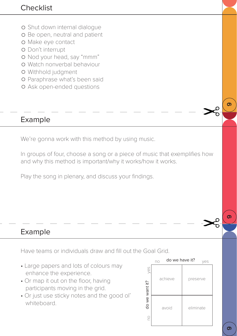- Shut down internal dialogue
- o Be open, neutral and patient
- o Make eye contact
- Don't interrupt
- o Nod your head, say "mmm"
- Watch nonverbal behaviour
- Withhold judgment
- Paraphrase what's been said
- Ask open-ended questions

## Example

We're gonna work with this method by using music.

In groups of four, choose a song or a piece of music that exemplifies how and why this method is important/why it works/how it works.

Play the song in plenary, and discuss your findings.

# Example

Have teams or individuals draw and fill out the Goal Grid.

- Large papers and lots of colours may enhance the experience.
- Or map it out on the floor, having participants moving in the grid.
- Or just use sticky notes and the good ol' whiteboard.



ග

တ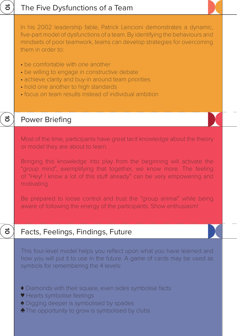# The Five Dysfunctions of a Team

In his 2002 leadership fable, Patrick Lencioni demonstrates a dynamic, five-part model of dysfunctions of a team. By identifying the behaviours and mindsets of poor teamwork, teams can develop strategies for overcoming them in order to:

- be comfortable with one another
- be willing to engage in constructive debate
- achieve clarity and buy-in around team priorities
- hold one another to high standards
- focus on team results instead of individual ambition

#### Power Briefing

ನ

<u>1</u>

<u>ಕ</u>

Most of the time, participants have great tacit knowledge about the theory or model they are about to learn.

Bringing this knowledge into play from the beginning will activate the "group mind", exemplifying that together, we know more. The feeling of "Hey! I know a lot of this stuff already" can be very empowering and motivating.

Be prepared to loose control and trust the "group animal" while being aware of following the energy of the participants. Show enthusiasm!

#### Facts, Feelings, Findings, Future

This four-level model helps you reflect upon what you have learned and how you will put it to use in the future. A game of cards may be used as symbols for remembering the 4 levels:

- Diamonds with their square, even sides symbolise facts ♦
- ♥ Hearts symbolise feelings
- **◆** Digging deeper is symbolised by spades
- ◆ The opportunity to grow is symbolised by clubs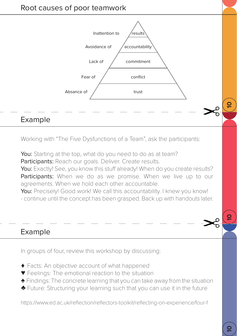



Working with "The Five Dysfunctions of a Team", ask the participants:

You: Starting at the top, what do you need to do as at team? Participants: Reach our goals. Deliver. Create results.

You: Exactly! See, you know this stuff already! When do you create results? Participants: When we do as we promise. When we live up to our agreements. When we hold each other accountable.

You: Precisely! Good work! We call this accountability. I knew you know! - continue until the concept has been grasped. Back up with handouts later.

#### Example

In groups of four, review this workshop by discussing:

- Facts: An objective account of what happened ♦
- Feelings: The emotional reaction to the situation ♥
- Findings: The concrete learning that you can take away from the situation ♠
- ◆ Future: Structuring your learning such that you can use it in the future

https://www.ed.ac.uk/reflection/reflectors-toolkit/reflecting-on-experience/four-f

<u>۽</u>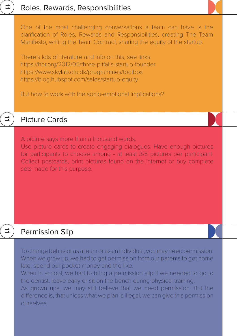# Roles, Rewards, Responsibilities

One of the most challenging conversations a team can have is the clarification of Roles, Rewards and Responsibilities, creating The Team Manifesto, writing the Team Contract, sharing the equity of the startup.

There's lots of literature and info on this, see links https://hbr.org/2012/05/three-pitfalls-startup-founder https://www.skylab.dtu.dk/programmes/toolbox https://blog.hubspot.com/sales/startup-equity

But how to work with the socio-emotional implications?

#### Picture Cards

=

=

 $\Rightarrow$ 

A picture says more than a thousand words.

Use picture cards to create engaging dialogues. Have enough pictures for participants to choose among - at least 3-5 pictures per participant. Collect postcards, print pictures found on the internet or buy complete sets made for this purpose.

#### Permission Slip

To change behavior as a team or as an individual, you may need permission. When we grow up, we had to get permission from our parents to get home late, spend our pocket money and the like.

When in school, we had to bring a permission slip if we needed to go to the dentist, leave early or sit on the bench during physical training.

As grown ups, we may still believe that we need permission. But the difference is, that unless what we plan is illegal, we can give this permission ourselves.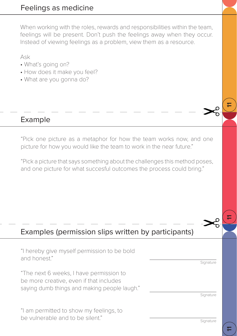When working with the roles, rewards and responsibilities within the team, feelings will be present. Don't push the feelings away when they occur. Instead of viewing feelings as a problem, view them as a resource.

Ask

- What's going on?
- How does it make you feel?
- What are you gonna do?

## Example

"Pick one picture as a metaphor for how the team works now, and one picture for how you would like the team to work in the near future."

"Pick a picture that says something about the challenges this method poses, and one picture for what succesful outcomes the process could bring."

# Examples (permission slips written by participants)

"I hereby give myself permission to be bold and honest."

"The next 6 weeks, I have permission to be more creative, even if that includes saying dumb things and making people laugh."

"I am permitted to show my feelings, to be vulnerable and to be silent."

Signature

Signature

11

11

11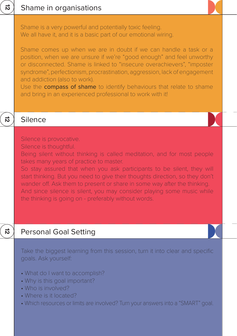

#### Personal Goal Setting

Take the biggest learning from this session, turn it into clear and specific goals. Ask yourself:

- What do I want to accomplish?
- Why is this goal important?
- Who is involved?

12

- Where is it located?
- Which resources or limits are involved? Turn your answers into a "SMART" goal.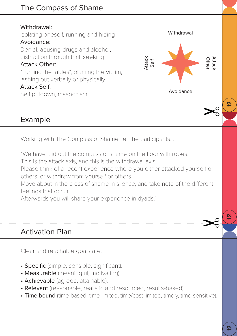# The Compass of Shame

#### Withdrawal:

Isolating oneself, running and hiding Avoidance:

Denial, abusing drugs and alcohol, distraction through thrill seeking

#### Attack Other:

"Turning the tables", blaming the victim, lashing out verbally or physically

#### Attack Self:

Self putdown, masochism

#### Example

Working with The Compass of Shame, tell the participants...

"We have laid out the compass of shame on the floor with ropes.

This is the attack axis, and this is the withdrawal axis.

Please think of a recent experience where you either attacked yourself or others, or withdrew from yourself or others.

**Withdrawal** 

Avoidance

Attack Self

Other Attack

<u>۾</u>

Move about in the cross of shame in silence, and take note of the different feelings that occur.

Afterwards you will share your experience in dyads."

# Activation Plan

Clear and reachable goals are:

- Specific (simple, sensible, significant).
- Measurable (meaningful, motivating).
- Achievable (agreed, attainable).
- Relevant (reasonable, realistic and resourced, results-based).
- Time bound (time-based, time limited, time/cost limited, timely, time-sensitive).

<u>۾</u>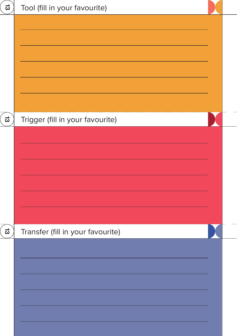| ದ | Tool (fill in your favourite)     |  |
|---|-----------------------------------|--|
|   |                                   |  |
| ದ |                                   |  |
|   | Trigger (fill in your favourite)  |  |
| ದ | Transfer (fill in your favourite) |  |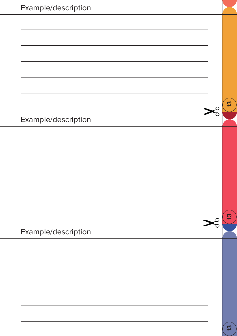| Example/description |        |               |
|---------------------|--------|---------------|
|                     |        |               |
|                     |        |               |
|                     |        |               |
|                     |        |               |
|                     |        |               |
|                     |        |               |
|                     |        | $\frac{3}{2}$ |
| Example/description | ע<br>ס |               |
|                     |        |               |
|                     |        |               |
|                     |        |               |
|                     |        |               |
|                     |        |               |
|                     |        |               |
|                     |        | ဗူ            |
| Example/description |        |               |
|                     |        |               |
|                     |        |               |
|                     |        |               |
|                     |        |               |
|                     |        |               |
|                     |        |               |
|                     |        |               |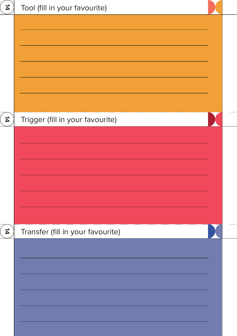| 4             | Tool (fill in your favourite)     |  |
|---------------|-----------------------------------|--|
|               |                                   |  |
|               |                                   |  |
|               |                                   |  |
| $\frac{1}{4}$ | Trigger (fill in your favourite)  |  |
|               |                                   |  |
|               |                                   |  |
|               |                                   |  |
|               |                                   |  |
|               |                                   |  |
|               |                                   |  |
| 4             | Transfer (fill in your favourite) |  |
|               |                                   |  |
|               |                                   |  |
|               |                                   |  |
|               |                                   |  |
|               |                                   |  |
|               |                                   |  |
|               |                                   |  |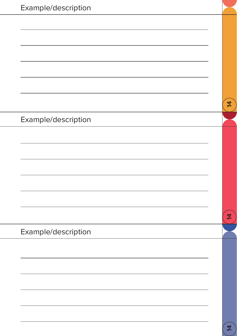| Example/description |                |
|---------------------|----------------|
|                     |                |
|                     |                |
|                     |                |
|                     |                |
|                     |                |
|                     |                |
|                     | $\frac{1}{4}$  |
| Example/description |                |
|                     |                |
|                     |                |
|                     |                |
|                     |                |
|                     |                |
|                     |                |
|                     | $\overline{4}$ |
| Example/description |                |
|                     |                |
|                     |                |
|                     |                |
|                     |                |
|                     |                |
|                     |                |
|                     | 4              |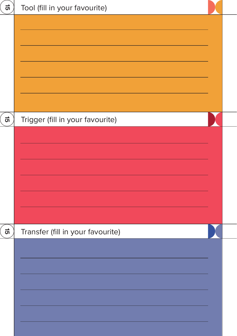| <u>ថា</u> | Tool (fill in your favourite)     |  |
|-----------|-----------------------------------|--|
|           |                                   |  |
|           |                                   |  |
|           |                                   |  |
|           |                                   |  |
|           |                                   |  |
|           |                                   |  |
| ল         | Trigger (fill in your favourite)  |  |
|           |                                   |  |
|           |                                   |  |
|           |                                   |  |
|           |                                   |  |
|           |                                   |  |
|           |                                   |  |
| ল         | Transfer (fill in your favourite) |  |
|           |                                   |  |
|           |                                   |  |
|           |                                   |  |
|           |                                   |  |
|           |                                   |  |
|           |                                   |  |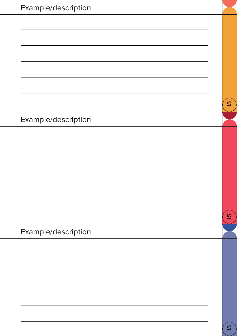| Example/description |                |
|---------------------|----------------|
|                     |                |
|                     |                |
|                     |                |
|                     |                |
|                     |                |
|                     |                |
|                     | $\overline{5}$ |
| Example/description |                |
|                     |                |
|                     |                |
|                     |                |
|                     |                |
|                     |                |
|                     | 15             |
|                     |                |
| Example/description |                |
|                     |                |
|                     |                |
|                     |                |
|                     |                |
|                     |                |
|                     |                |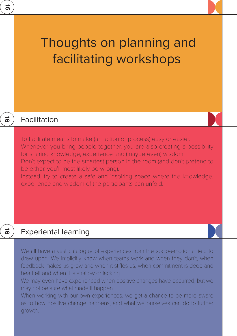| ಹ         |                                                                                                                                                                                                                                                                                                                                                                                                                                                                        |  |
|-----------|------------------------------------------------------------------------------------------------------------------------------------------------------------------------------------------------------------------------------------------------------------------------------------------------------------------------------------------------------------------------------------------------------------------------------------------------------------------------|--|
|           | Thoughts on planning and<br>facilitating workshops                                                                                                                                                                                                                                                                                                                                                                                                                     |  |
| ಹೆ        | Facilitation                                                                                                                                                                                                                                                                                                                                                                                                                                                           |  |
|           | To facilitate means to make (an action or process) easy or easier.<br>Whenever you bring people together, you are also creating a possibility<br>for sharing knowledge, experience and (maybe even) wisdom.<br>Don't expect to be the smartest person in the room (and don't pretend to<br>be either, you'll most likely be wrong).<br>Instead, try to create a safe and inspiring space where the knowledge,<br>experience and wisdom of the participants can unfold. |  |
| $\vec{0}$ | <b>Experiental learning</b>                                                                                                                                                                                                                                                                                                                                                                                                                                            |  |
|           | We all have a vast catalogue of experiences from the socio-emotional field to<br>draw upon. We implicitly know when teams work and when they don't, when<br>feedback makes us grow and when it stifles us, when commitment is deep and<br>heartfelt and when it is shallow or lacking.<br>We may even have experienced when positive changes have occurred, but we<br>may not be sure what made it happen.                                                             |  |

When working with our own experiences, we get a chance to be more aware as to how positive change happens, and what we ourselves can do to further growth.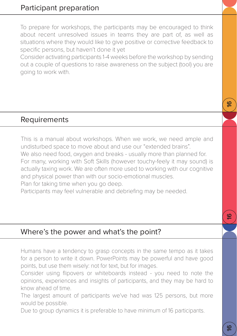To prepare for workshops, the participants may be encouraged to think about recent unresolved issues in teams they are part of, as well as situations where they would like to give positive or corrective feedback to specific persons, but haven't done it yet

Consider activating participants 1-4 weeks before the workshop by sending out a couple of questions to raise awareness on the subject (tool) you are going to work with.

#### **Requirements**

This is a manual about workshops. When we work, we need ample and undisturbed space to move about and use our "extended brains". We also need food, oxygen and breaks - usually more than planned for. For many, working with Soft Skills (however touchy-feely it may sound) is actually taxing work. We are often more used to working with our cognitive and physical power than with our socio-emotional muscles. Plan for taking time when you go deep.

Participants may feel vulnerable and debriefing may be needed.

#### Where's the power and what's the point?

Humans have a tendency to grasp concepts in the same tempo as it takes for a person to write it down. PowerPoints may be powerful and have good points, but use them wisely: not for text, but for images.

Consider using flipovers or whiteboards instead - you need to note the opinions, experiences and insights of participants, and they may be hard to know ahead of time.

The largest amount of participants we've had was 125 persons, but more would be possible.

Due to group dynamics it is preferable to have minimum of 16 participants.

<u>م</u>

 $\underline{\underline{\omega}}$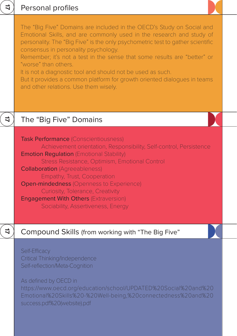|   | Personal profiles                                                                                                                                                                                                                                                                                                                                                                                                                                                                                                                                               |  |
|---|-----------------------------------------------------------------------------------------------------------------------------------------------------------------------------------------------------------------------------------------------------------------------------------------------------------------------------------------------------------------------------------------------------------------------------------------------------------------------------------------------------------------------------------------------------------------|--|
|   | The "Big Five" Domains are included in the OECD's Study on Social and<br>Emotional Skills, and are commonly used in the research and study of<br>personality. The "Big Five" is the only psychometric test to gather scientific<br>consensus in personality psychology.<br>Remember; it's not a test in the sense that some results are "better" or<br>"worse" than others.<br>It is not a diagnostic tool and should not be used as such.<br>But it provides a common platform for growth oriented dialogues in teams<br>and other relations. Use them wisely. |  |
| 4 | The "Big Five" Domains                                                                                                                                                                                                                                                                                                                                                                                                                                                                                                                                          |  |
|   | <b>Task Performance (Conscientiousness)</b><br>Achievement orientation, Responsibility, Self-control, Persistence<br><b>Emotion Regulation (Emotional Stability)</b><br>Stress Resistance, Optimism, Emotional Control<br><b>Collaboration</b> (Agreeableness)<br>Empathy, Trust, Cooperation<br><b>Open-mindedness</b> (Openness to Experience)<br>Curiosity, Tolerance, Creativity<br><b>Engagement With Others (Extraversion)</b><br>Sociability, Assertiveness, Energy                                                                                      |  |
| ₹ | Compound Skills (from working with "The Big Five"                                                                                                                                                                                                                                                                                                                                                                                                                                                                                                               |  |
|   | Self-Efficacy<br><b>Critical Thinking/Independence</b><br>Self-reflection/Meta-Cognition<br>As defined by OECD in<br>https://www.oecd.org/education/school/UPDATED%20Social%20and%20<br>Emotional%20Skills%20-%20Well-being,%20connectedness%20and%20<br>success.pdf%20(website).pdf                                                                                                                                                                                                                                                                            |  |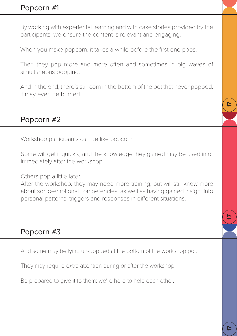By working with experiental learning and with case stories provided by the participants, we ensure the content is relevant and engaging.

When you make popcorn, it takes a while before the first one pops.

Then they pop more and more often and sometimes in big waves of simultaneous popping.

And in the end, there's still corn in the bottom of the pot that never popped. It may even be burned.

#### Popcorn #2

Workshop participants can be like popcorn.

Some will get it quickly, and the knowledge they gained may be used in or immediately after the workshop.

Others pop a little later.

After the workshop, they may need more training, but will still know more about socio-emotional competencies, as well as having gained insight into personal patterns, triggers and responses in different situations.

# Popcorn #3

And some may be lying un-popped at the bottom of the workshop pot.

They may require extra attention during or after the workshop.

Be prepared to give it to them; we're here to help each other.

17

17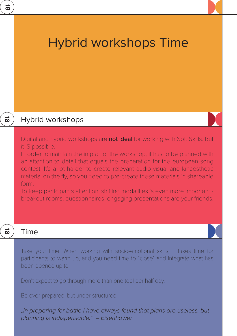| ಹ         |                                                                                                                                                                                                                                                                                                                                                                                                                                                                                                                                                                                              |
|-----------|----------------------------------------------------------------------------------------------------------------------------------------------------------------------------------------------------------------------------------------------------------------------------------------------------------------------------------------------------------------------------------------------------------------------------------------------------------------------------------------------------------------------------------------------------------------------------------------------|
|           | <b>Hybrid workshops Time</b>                                                                                                                                                                                                                                                                                                                                                                                                                                                                                                                                                                 |
| $\vec{a}$ | Hybrid workshops                                                                                                                                                                                                                                                                                                                                                                                                                                                                                                                                                                             |
|           | Digital and hybrid workshops are not ideal for working with Soft Skills. But<br>it IS possible.<br>In order to maintain the impact of the workshop, it has to be planned with<br>an attention to detail that equals the preparation for the european song<br>contest. It's a lot harder to create relevant audio-visual and kinaesthetic<br>material on the fly, so you need to pre-create these materials in shareable<br>form.<br>To keep participants attention, shifting modalities is even more important -<br>breakout rooms, questionnaires, engaging presentations are your friends. |
| ಹ         | Time                                                                                                                                                                                                                                                                                                                                                                                                                                                                                                                                                                                         |
|           | Take your time. When working with socio-emotional skills, it takes time for<br>participants to warm up, and you need time to "close" and integrate what has<br>been opened up to.                                                                                                                                                                                                                                                                                                                                                                                                            |
|           | Don't expect to go through more than one tool per half-day.                                                                                                                                                                                                                                                                                                                                                                                                                                                                                                                                  |
|           | Be over-prepared, but under-structured.                                                                                                                                                                                                                                                                                                                                                                                                                                                                                                                                                      |
|           | "In preparing for battle I have always found that plans are useless, but<br>planning is indispensable." - Eisenhower                                                                                                                                                                                                                                                                                                                                                                                                                                                                         |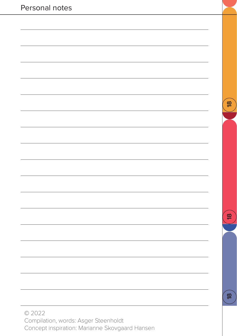| Personal notes |               |
|----------------|---------------|
|                |               |
|                |               |
|                |               |
|                |               |
|                |               |
|                | $\frac{8}{2}$ |
|                |               |
|                |               |
|                |               |
|                |               |
|                |               |
|                |               |
|                |               |
|                | $\frac{8}{2}$ |
|                |               |
|                |               |
|                |               |
|                |               |
|                | $\frac{8}{2}$ |
| © 2022         |               |

Compilation, words: Asger Steenholdt Concept inspiration: Marianne Skovgaard Hansen